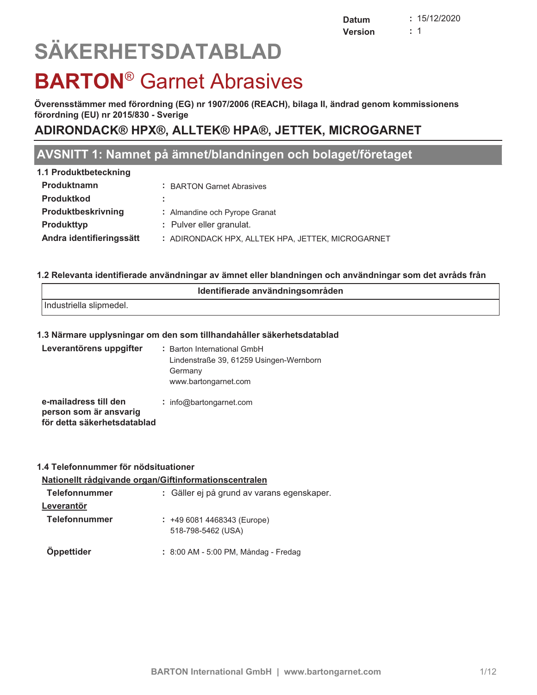# $\overline{S}$

# **BARTON<sup>®</sup> Garnet Abrasives**

Överensstämmer med förordning (EG) nr 1907/2006 (REACH), bilaga II, ändrad genom kommissionens **by crems stammer med for ordining (EQ**<br>förordning (EU) nr 2015/830 - Sverige

## **ADIRONDACK® HPX®, ALLTEK® HPA®, JETTEK, MICROGARNET**

## **AVSNITT 1: Namnet på ämnet/blandningen och bolaget/företaget**

| 1.1 Produktbeteckning    |                                                   |
|--------------------------|---------------------------------------------------|
| Produktnamn              | : BARTON Garnet Abrasives                         |
| <b>Produktkod</b>        |                                                   |
| Produktbeskrivning       | : Almandine och Pyrope Granat                     |
| <b>Produkttyp</b>        | : Pulver eller granulat.                          |
| Andra identifieringssätt | : ADIRONDACK HPX, ALLTEK HPA, JETTEK, MICROGARNET |
|                          |                                                   |

## 1.2 Relevanta identifierade användningar av ämnet eller blandningen och användningar som det avråds från

| Identifierade användningsområden |  |
|----------------------------------|--|
| Industriella slipmedel.          |  |
|                                  |  |

## <u>**1.3 Närmare upplysningar om den som tillhandahåller säkerhetsdatablad</u></u>**

| Leverantörens uppgifter                                                        | : Barton International GmbH<br>Lindenstraße 39, 61259 Usingen-Wernborn<br>Germany<br>www.bartongarnet.com |
|--------------------------------------------------------------------------------|-----------------------------------------------------------------------------------------------------------|
| e-mailadress till den<br>person som är ansvarig<br>för detta säkerhetsdatablad | : info@bartongarnet.com                                                                                   |

## <u>**1.4 Telefonnummer för nödsituationer**</u>

## <u>**Nationellt rådgivande organ/Giftinformationscentralen**</u>

| <b>Telefonnummer</b> | : Gäller ej på grund av varans egenskaper.        |
|----------------------|---------------------------------------------------|
| Leverantör           |                                                   |
| <b>Telefonnummer</b> | $: +4960814468343$ (Europe)<br>518-798-5462 (USA) |
| Öppettider           | : 8:00 AM - 5:00 PM, Måndag - Fredag              |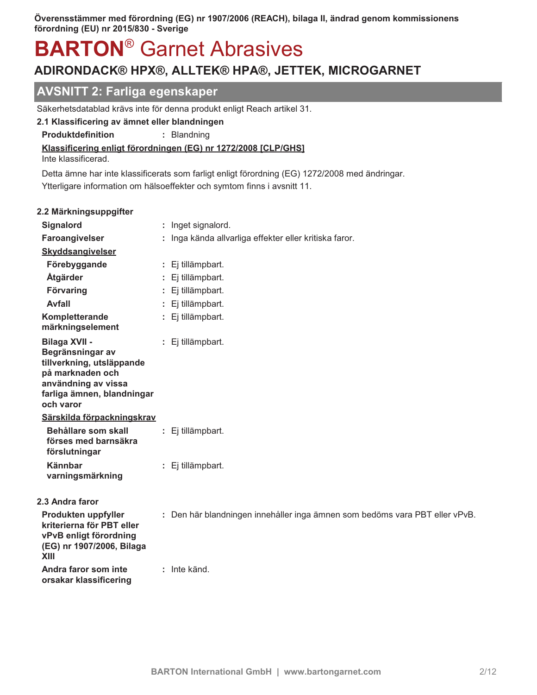## **BARTON<sup>®</sup> Garnet Abrasives**

## ADIRONDACK® HPX®, ALLTEK® HPA®, JETTEK, MICROGARNET

### **AVSNITT 2: Farliga egenskaper**

Säkerhetsdatablad krävs inte för denna produkt enligt Reach artikel 31.

### 2.1 Klassificering av ämnet eller blandningen

Produktdefinition : Blandning

#### Klassificering enligt förordningen (EG) nr 1272/2008 [CLP/GHS]

Inte klassificerad.

Detta ämne har inte klassificerats som farligt enligt förordning (EG) 1272/2008 med ändringar. Ytterligare information om hälsoeffekter och symtom finns i avsnitt 11.

#### 2.2 Märkningsuppgifter

| Signalord                                                                                                                                                   | : Inget signalord.                                                          |
|-------------------------------------------------------------------------------------------------------------------------------------------------------------|-----------------------------------------------------------------------------|
| Faroangivelser                                                                                                                                              | Inga kända allvarliga effekter eller kritiska faror.                        |
| <b>Skyddsangivelser</b>                                                                                                                                     |                                                                             |
| Förebyggande                                                                                                                                                | : Ej tillämpbart.                                                           |
| Åtgärder                                                                                                                                                    | : Ej tillämpbart.                                                           |
| Förvaring                                                                                                                                                   | Ej tillämpbart.                                                             |
| <b>Avfall</b>                                                                                                                                               | : Ej tillämpbart.                                                           |
| Kompletterande<br>märkningselement                                                                                                                          | : Ej tillämpbart.                                                           |
| <b>Bilaga XVII -</b><br>Begränsningar av<br>tillverkning, utsläppande<br>på marknaden och<br>användning av vissa<br>farliga ämnen, blandningar<br>och varor | : Ej tillämpbart.                                                           |
| Särskilda förpackningskrav                                                                                                                                  |                                                                             |
| Behållare som skall<br>förses med barnsäkra<br>förslutningar                                                                                                | : Ej tillämpbart.                                                           |
| <b>Kännbar</b><br>varningsmärkning                                                                                                                          | : Ej tillämpbart.                                                           |
| 2.3 Andra faror                                                                                                                                             |                                                                             |
| Produkten uppfyller<br>kriterierna för PBT eller<br>vPvB enligt förordning<br>(EG) nr 1907/2006, Bilaga<br><b>XIII</b>                                      | : Den här blandningen innehåller inga ämnen som bedöms vara PBT eller vPvB. |
| Andra faror som inte<br>orsakar klassificering                                                                                                              | : Inte känd.                                                                |
|                                                                                                                                                             |                                                                             |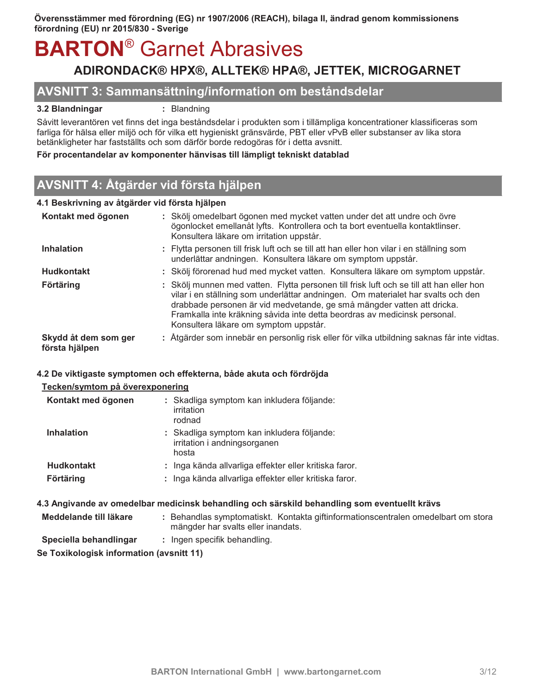## **BARTON<sup>®</sup> Garnet Abrasives** ADIRONDACK® HPX®, ALLTEK® HPA®, JETTEK, MICROGARNET

### AVSNITT 3: Sammansättning/information om beståndsdelar

#### 3.2 Blandningar

: Blandning

Såvitt leverantören vet finns det inga beståndsdelar i produkten som i tillämpliga koncentrationer klassificeras som farliga för hälsa eller miljö och för vilka ett hygieniskt gränsvärde, PBT eller vPvB eller substanser av lika stora betänkligheter har fastställts och som därför borde redogöras för i detta avsnitt.

#### För procentandelar av komponenter hänvisas till lämpligt tekniskt datablad

## AVSNITT 4: Åtgärder vid första hjälpen

#### 4.1 Beskrivning av åtgärder vid första hjälpen

| Kontakt med ögonen                     | : Skölj omedelbart ögonen med mycket vatten under det att undre och övre<br>ögonlocket emellanåt lyfts. Kontrollera och ta bort eventuella kontaktlinser.<br>Konsultera läkare om irritation uppstår.                                                                                                                                                                        |
|----------------------------------------|------------------------------------------------------------------------------------------------------------------------------------------------------------------------------------------------------------------------------------------------------------------------------------------------------------------------------------------------------------------------------|
| <b>Inhalation</b>                      | : Flytta personen till frisk luft och se till att han eller hon vilar i en ställning som<br>underlättar andningen. Konsultera läkare om symptom uppstår.                                                                                                                                                                                                                     |
| <b>Hudkontakt</b>                      | : Skölj förorenad hud med mycket vatten. Konsultera läkare om symptom uppstår.                                                                                                                                                                                                                                                                                               |
| <b>Förtäring</b>                       | : Skölj munnen med vatten. Flytta personen till frisk luft och se till att han eller hon<br>vilar i en ställning som underlättar andningen. Om materialet har svalts och den<br>drabbade personen är vid medvetande, ge små mängder vatten att dricka.<br>Framkalla inte kräkning såvida inte detta beordras av medicinsk personal.<br>Konsultera läkare om symptom uppstår. |
| Skydd åt dem som ger<br>första hjälpen | : Åtgärder som innebär en personlig risk eller för vilka utbildning saknas får inte vidtas.                                                                                                                                                                                                                                                                                  |

#### 4.2 De viktigaste symptomen och effekterna, både akuta och fördröjda

#### Tecken/symtom på överexponering

| Kontakt med ögonen | : Skadliga symptom kan inkludera följande:<br>irritation<br>rodnad                  |
|--------------------|-------------------------------------------------------------------------------------|
| <b>Inhalation</b>  | : Skadliga symptom kan inkludera följande:<br>irritation i andningsorganen<br>hosta |
| <b>Hudkontakt</b>  | : Inga kända allvarliga effekter eller kritiska faror                               |
| Förtäring          | : Inga kända allvarliga effekter eller kritiska faror                               |

#### 4.3 Angivande av omedelbar medicinsk behandling och särskild behandling som eventuellt krävs

- Meddelande till läkare : Behandlas symptomatiskt. Kontakta giftinformationscentralen omedelbart om stora mängder har svalts eller inandats.
- Speciella behandlingar : Ingen specifik behandling.

Se Toxikologisk information (avsnitt 11)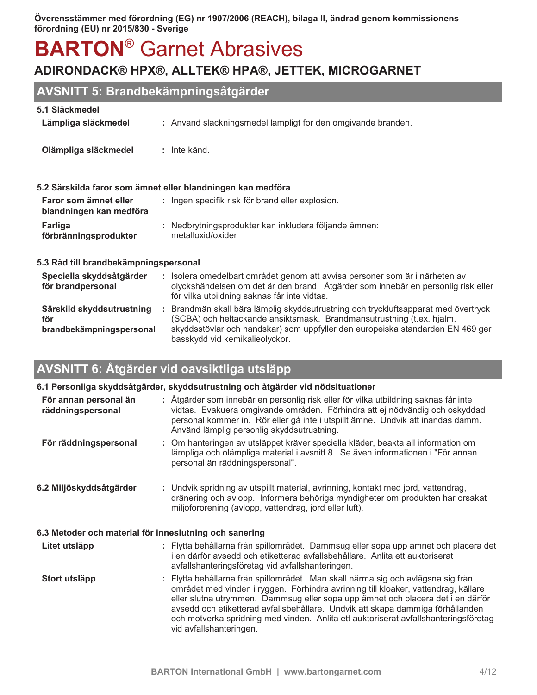## **BARTON<sup>®</sup> Garnet Abrasives**

## ADIRONDACK® HPX®, ALLTEK® HPA®, JETTEK, MICROGARNET

## AVSNITT 5: Brandbekämpningsåtgärder

#### 5.1 Släckmedel

| Lämpliga släckmedel                              | : Använd släckningsmedel lämpligt för den omgivande branden.                |
|--------------------------------------------------|-----------------------------------------------------------------------------|
| Olämpliga släckmedel                             | $:$ Inte känd.                                                              |
|                                                  | 5.2 Särskilda faror som ämnet eller blandningen kan medföra                 |
| Faror som ämnet eller<br>blandningen kan medföra | : Ingen specifik risk för brand eller explosion.                            |
| <b>Farliga</b><br>förbränningsprodukter          | : Nedbrytningsprodukter kan inkludera följande ämnen:<br>metalloxid/oxider  |
| 5.3 Råd till brandbekämpningspersonal            |                                                                             |
| Speciella skyddsåtgärder                         | : Isolera omedelbart området genom att avvisa personer som är i närheten av |

| för brandpersonal                                            | olyckshändelsen om det är den brand. Åtgärder som innebär en personlig risk eller<br>för vilka utbildning saknas får inte vidtas.                                                                                                                                             |
|--------------------------------------------------------------|-------------------------------------------------------------------------------------------------------------------------------------------------------------------------------------------------------------------------------------------------------------------------------|
| Särskild skyddsutrustning<br>för<br>brandbekämpningspersonal | Brandmän skall bära lämplig skyddsutrustning och tryckluftsapparat med övertryck<br>(SCBA) och heltäckande ansiktsmask. Brandmansutrustning (t.ex. hjälm,<br>skyddsstövlar och handskar) som uppfyller den europeiska standarden EN 469 ger<br>basskydd vid kemikalieolyckor. |

## AVSNITT 6: Åtgärder vid oavsiktliga utsläpp

|                                                        | 6.1 Personliga skyddsåtgärder, skyddsutrustning och åtgärder vid nödsituationer                                                                                                                                                                                                                                                                                                                                                                               |  |  |  |
|--------------------------------------------------------|---------------------------------------------------------------------------------------------------------------------------------------------------------------------------------------------------------------------------------------------------------------------------------------------------------------------------------------------------------------------------------------------------------------------------------------------------------------|--|--|--|
| För annan personal än<br>räddningspersonal             | : Åtgärder som innebär en personlig risk eller för vilka utbildning saknas får inte<br>vidtas. Evakuera omgivande områden. Förhindra att ej nödvändig och oskyddad<br>personal kommer in. Rör eller gå inte i utspillt ämne. Undvik att inandas damm.<br>Använd lämplig personlig skyddsutrustning.                                                                                                                                                           |  |  |  |
| För räddningspersonal                                  | : Om hanteringen av utsläppet kräver speciella kläder, beakta all information om<br>lämpliga och olämpliga material i avsnitt 8. Se även informationen i "För annan<br>personal än räddningspersonal".                                                                                                                                                                                                                                                        |  |  |  |
| 6.2 Miljöskyddsåtgärder                                | : Undvik spridning av utspillt material, avrinning, kontakt med jord, vattendrag,<br>dränering och avlopp. Informera behöriga myndigheter om produkten har orsakat<br>miljöförorening (avlopp, vattendrag, jord eller luft).                                                                                                                                                                                                                                  |  |  |  |
| 6.3 Metoder och material för inneslutning och sanering |                                                                                                                                                                                                                                                                                                                                                                                                                                                               |  |  |  |
| Litet utsläpp                                          | : Flytta behållarna från spillområdet. Dammsug eller sopa upp ämnet och placera det<br>i en därför avsedd och etiketterad avfallsbehållare. Anlita ett auktoriserat<br>avfallshanteringsföretag vid avfallshanteringen.                                                                                                                                                                                                                                       |  |  |  |
| Stort utsläpp                                          | : Flytta behållarna från spillområdet. Man skall närma sig och avlägsna sig från<br>området med vinden i ryggen. Förhindra avrinning till kloaker, vattendrag, källare<br>eller slutna utrymmen. Dammsug eller sopa upp ämnet och placera det i en därför<br>avsedd och etiketterad avfallsbehållare. Undvik att skapa dammiga förhållanden<br>och motverka spridning med vinden. Anlita ett auktoriserat avfallshanteringsföretag<br>vid avfallshanteringen. |  |  |  |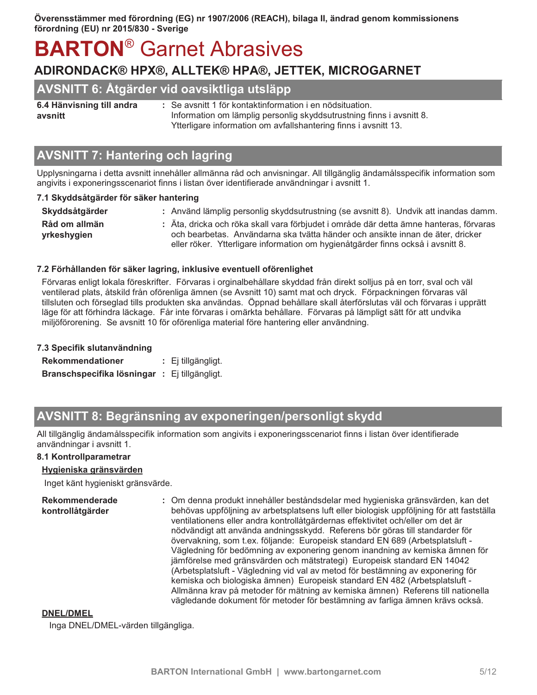## ADIRONDACK® HPX®, ALLTEK® HPA®, JETTEK, MICROGARNET

## AVSNITT 6: Åtgärder vid oavsiktliga utsläpp

6.4 Hänvisning till andra avsnitt

: Se avsnitt 1 för kontaktinformation i en nödsituation. Information om lämplig personlig skyddsutrustning finns i avsnitt 8. Ytterligare information om avfallshantering finns i avsnitt 13.

## **AVSNITT 7: Hantering och lagring**

Upplysningarna i detta avsnitt innehåller allmänna råd och anvisningar. All tillgänglig ändamålsspecifik information som angivits i exponeringsscenariot finns i listan över identifierade användningar i avsnitt 1.

#### 7.1 Skyddsåtgärder för säker hantering

| Skyddsåtgärder               | : Använd lämplig personlig skyddsutrustning (se avsnitt 8). Undvik att inandas damm.                                                                                                                                                                        |
|------------------------------|-------------------------------------------------------------------------------------------------------------------------------------------------------------------------------------------------------------------------------------------------------------|
| Råd om allmän<br>yrkeshygien | : Äta, dricka och röka skall vara förbjudet i område där detta ämne hanteras, förvaras<br>och bearbetas. Användarna ska tvätta händer och ansikte innan de äter, dricker<br>eller röker. Ytterligare information om hygienåtgärder finns också i avsnitt 8. |

#### 7.2 Förhållanden för säker lagring, inklusive eventuell oförenlighet

Förvaras enligt lokala föreskrifter. Förvaras i orginalbehållare skyddad från direkt solljus på en torr, sval och väl ventilerad plats, åtskild från oförenliga ämnen (se Avsnitt 10) samt mat och dryck. Förpackningen förvaras väl tillsluten och förseglad tills produkten ska användas. Öppnad behållare skall återförslutas väl och förvaras i upprätt läge för att förhindra läckage. Får inte förvaras i omärkta behållare. Förvaras på lämpligt sätt för att undvika miljöförorening. Se avsnitt 10 för oförenliga material före hantering eller användning.

| 7.3 Specifik slutanvändning                   |  |                    |  |
|-----------------------------------------------|--|--------------------|--|
| <b>Rekommendationer</b>                       |  | : Ej tillgängligt. |  |
| Branschspecifika lösningar : Ej tillgängligt. |  |                    |  |

## AVSNITT 8: Begränsning av exponeringen/personligt skydd

All tillgänglig ändamålsspecifik information som angivits i exponeringsscenariot finns i listan över identifierade användningar i avsnitt 1.

#### 8.1 Kontrollparametrar

#### Hygieniska gränsvärden

Inget känt hygieniskt gränsvärde.

**Rekommenderade** : Om denna produkt innehåller beståndsdelar med hygieniska gränsvärden, kan det kontrollåtgärder behövas uppföljning av arbetsplatsens luft eller biologisk uppföljning för att fastställa ventilationens eller andra kontrollåtgärdernas effektivitet och/eller om det är nödvändigt att använda andningsskydd. Referens bör göras till standarder för övervakning, som t.ex. följande: Europeisk standard EN 689 (Arbetsplatsluft -Vägledning för bedömning av exponering genom inandning av kemiska ämnen för jämförelse med gränsvärden och mätstrategi) Europeisk standard EN 14042 (Arbetsplatsluft - Vägledning vid val av metod för bestämning av exponering för kemiska och biologiska ämnen) Europeisk standard EN 482 (Arbetsplatsluft -Allmänna krav på metoder för mätning av kemiska ämnen) Referens till nationella vägledande dokument för metoder för bestämning av farliga ämnen krävs också.

#### **DNEL/DMEL**

Inga DNEL/DMEL-värden tillgängliga.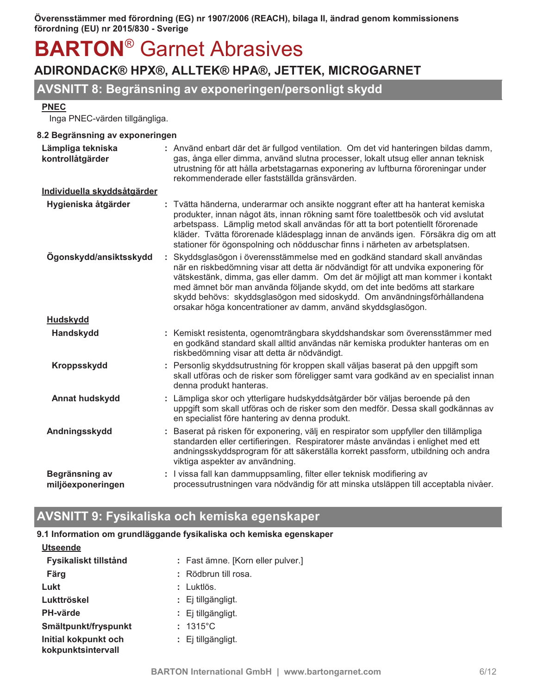## ADIRONDACK® HPX®, ALLTEK® HPA®, JETTEK, MICROGARNET

## AVSNITT 8: Begränsning av exponeringen/personligt skydd

#### **PNEC**

Inga PNEC-värden tillgängliga.

#### 8.2 Begränsning av exponeringen

| Lämpliga tekniska<br>kontrollåtgärder | : Använd enbart där det är fullgod ventilation. Om det vid hanteringen bildas damm,<br>gas, ånga eller dimma, använd slutna processer, lokalt utsug eller annan teknisk<br>utrustning för att hålla arbetstagarnas exponering av luftburna föroreningar under<br>rekommenderade eller fastställda gränsvärden.                                                                                                                                                          |  |
|---------------------------------------|-------------------------------------------------------------------------------------------------------------------------------------------------------------------------------------------------------------------------------------------------------------------------------------------------------------------------------------------------------------------------------------------------------------------------------------------------------------------------|--|
| Individuella skyddsåtgärder           |                                                                                                                                                                                                                                                                                                                                                                                                                                                                         |  |
| Hygieniska åtgärder                   | : Tvätta händerna, underarmar och ansikte noggrant efter att ha hanterat kemiska<br>produkter, innan något äts, innan rökning samt före toalettbesök och vid avslutat<br>arbetspass. Lämplig metod skall användas för att ta bort potentiellt förorenade<br>kläder. Tvätta förorenade klädesplagg innan de används igen. Försäkra dig om att<br>stationer för ögonspolning och nödduschar finns i närheten av arbetsplatsen.                                            |  |
| Ögonskydd/ansiktsskydd                | Skyddsglasögon i överensstämmelse med en godkänd standard skall användas<br>när en riskbedömning visar att detta är nödvändigt för att undvika exponering för<br>vätskestänk, dimma, gas eller damm. Om det är möjligt att man kommer i kontakt<br>med ämnet bör man använda följande skydd, om det inte bedöms att starkare<br>skydd behövs: skyddsglasögon med sidoskydd. Om användningsförhållandena<br>orsakar höga koncentrationer av damm, använd skyddsglasögon. |  |
| <b>Hudskydd</b>                       |                                                                                                                                                                                                                                                                                                                                                                                                                                                                         |  |
| Handskydd                             | : Kemiskt resistenta, ogenomträngbara skyddshandskar som överensstämmer med<br>en godkänd standard skall alltid användas när kemiska produkter hanteras om en<br>riskbedömning visar att detta är nödvändigt.                                                                                                                                                                                                                                                           |  |
| <b>Kroppsskydd</b>                    | : Personlig skyddsutrustning för kroppen skall väljas baserat på den uppgift som<br>skall utföras och de risker som föreligger samt vara godkänd av en specialist innan<br>denna produkt hanteras.                                                                                                                                                                                                                                                                      |  |
| Annat hudskydd                        | Lämpliga skor och ytterligare hudskyddsåtgärder bör väljas beroende på den<br>uppgift som skall utföras och de risker som den medför. Dessa skall godkännas av<br>en specialist före hantering av denna produkt.                                                                                                                                                                                                                                                        |  |
| Andningsskydd                         | Baserat på risken för exponering, välj en respirator som uppfyller den tillämpliga<br>standarden eller certifieringen. Respiratorer måste användas i enlighet med ett<br>andningsskyddsprogram för att säkerställa korrekt passform, utbildning och andra<br>viktiga aspekter av användning.                                                                                                                                                                            |  |
| Begränsning av<br>miljöexponeringen   | : I vissa fall kan dammuppsamling, filter eller teknisk modifiering av<br>processutrustningen vara nödvändig för att minska utsläppen till acceptabla nivåer.                                                                                                                                                                                                                                                                                                           |  |

## AVSNITT 9: Fysikaliska och kemiska egenskaper

#### 9.1 Information om grundläggande fysikaliska och kemiska egenskaper

| <b>Utseende</b>                            |                                   |
|--------------------------------------------|-----------------------------------|
| Fysikaliskt tillstånd                      | : Fast ämne. [Korn eller pulver.] |
| Färg                                       | : Rödbrun till rosa.              |
| Lukt                                       | : Luktlös.                        |
| Lukttröskel                                | : Ej tillgängligt.                |
| <b>PH-värde</b>                            | $\colon$ Ej tillgängligt.         |
| Smältpunkt/fryspunkt                       | $: 1315^{\circ}$ C                |
| Initial kokpunkt och<br>kokpunktsintervall | : Ej tillgängligt.                |
|                                            |                                   |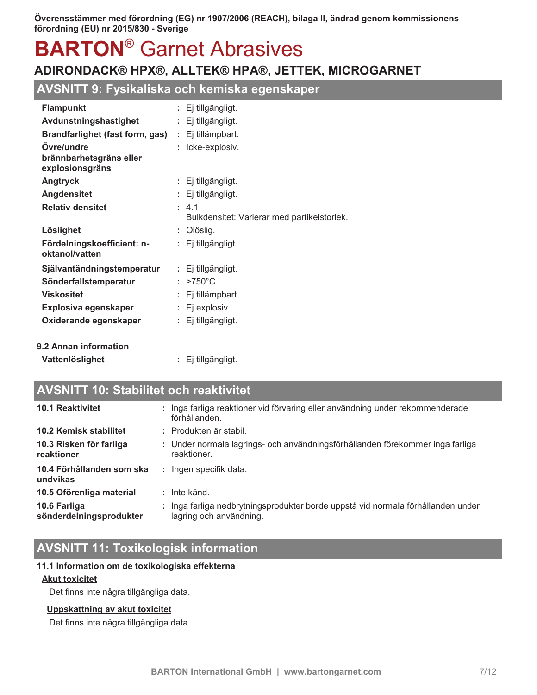## ADIRONDACK® HPX®, ALLTEK® HPA®, JETTEK, MICROGARNET

## AVSNITT 9: Fysikaliska och kemiska egenskaper

| <b>Flampunkt</b>                             | : Ej tillgängligt.                                   |
|----------------------------------------------|------------------------------------------------------|
| Avdunstningshastighet                        | : Ej tillgängligt.                                   |
| <b>Brandfarlighet (fast form, gas)</b>       | : Ej tillämpbart.                                    |
| Övre/undre                                   | : Icke-explosiv.                                     |
| brännbarhetsgräns eller<br>explosionsgräns   |                                                      |
| <b>Angtryck</b>                              | : Ej tillgängligt.                                   |
| <b>Ångdensitet</b>                           | : Ej tillgängligt.                                   |
| <b>Relativ densitet</b>                      | : 4.1<br>Bulkdensitet: Varierar med partikelstorlek. |
| Löslighet                                    | : Olöslig.                                           |
| Fördelningskoefficient: n-<br>oktanol/vatten | : Ej tillgängligt.                                   |
| Självantändningstemperatur                   | $: E$ j tillgängligt.                                |
| Sönderfallstemperatur                        | $>750^{\circ}$ C                                     |
| <b>Viskositet</b>                            | : Ej tillämpbart.                                    |
| Explosiva egenskaper                         | $: E$ j explosiv.                                    |
| Oxiderande egenskaper                        | $: E$ j tillgängligt.                                |
| 9.2 Annan information                        |                                                      |

Vattenlöslighet

: Ej tillgängligt.

## **AVSNITT 10: Stabilitet och reaktivitet**

| <b>10.1 Reaktivitet</b>                 |    | : Inga farliga reaktioner vid förvaring eller användning under rekommenderade<br>förhållanden.              |
|-----------------------------------------|----|-------------------------------------------------------------------------------------------------------------|
| 10.2 Kemisk stabilitet                  |    | : Produkten är stabil.                                                                                      |
| 10.3 Risken för farliga<br>reaktioner   |    | : Under normala lagrings- och användningsförhållanden förekommer inga farliga<br>reaktioner.                |
| 10.4 Förhållanden som ska<br>undvikas   | ÷. | Ingen specifik data.                                                                                        |
| 10.5 Oförenliga material                |    | $:$ Inte känd.                                                                                              |
| 10.6 Farliga<br>sönderdelningsprodukter |    | : Inga farliga nedbrytningsprodukter borde uppstå vid normala förhållanden under<br>lagring och användning. |

## **AVSNITT 11: Toxikologisk information**

#### 11.1 Information om de toxikologiska effekterna

#### **Akut toxicitet**

Det finns inte några tillgängliga data.

#### Uppskattning av akut toxicitet

Det finns inte några tillgängliga data.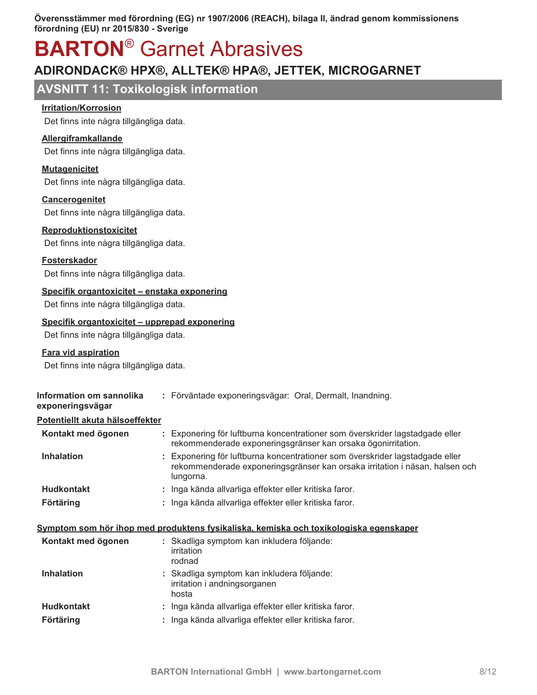## **BARTON<sup>®</sup> Garnet Abrasives**

## ADIRONDACK® HPX®, ALLTEK® HPA®, JETTEK, MICROGARNET

## **AVSNITT 11: Toxikologisk information**

#### **Irritation/Korrosion**

Det finns inte några tillgängliga data.

#### Allergiframkallande

Det finns inte några tillgängliga data.

#### **Mutagenicitet**

Det finns inte några tillgängliga data.

#### **Cancerogenitet**

Det finns inte några tillgängliga data.

#### Reproduktionstoxicitet

Det finns inte några tillgängliga data.

#### **Fosterskador**

Det finns inte några tillgängliga data.

#### Specifik organtoxicitet - enstaka exponering

Det finns inte några tillgängliga data.

#### Specifik organtoxicitet - upprepad exponering

Det finns inte några tillgängliga data.

#### **Fara vid aspiration**

Det finns inte några tillgängliga data.

|                                        | : Förväntade exponeringsvägar: Oral, Dermalt, Inandning.                                                                                                                 |
|----------------------------------------|--------------------------------------------------------------------------------------------------------------------------------------------------------------------------|
| <u>Potentiellt akuta hälsoeffekter</u> |                                                                                                                                                                          |
|                                        | : Exponering för luftburna koncentrationer som överskrider lagstadgade eller<br>rekommenderade exponeringsgränser kan orsaka ögonirritation.                             |
|                                        | : Exponering för luftburna koncentrationer som överskrider lagstadgade eller<br>rekommenderade exponeringsgränser kan orsaka irritation i näsan, halsen och<br>lungorna. |
|                                        | : Inga kända allvarliga effekter eller kritiska faror.                                                                                                                   |
|                                        | : Inga kända allvarliga effekter eller kritiska faror.                                                                                                                   |
|                                        |                                                                                                                                                                          |

#### Symptom som hör ihop med produktens fysikaliska, kemiska och toxikologiska egenskaper

| Kontakt med ögonen | : Skadliga symptom kan inkludera följande:<br>irritation<br>rodnad                  |
|--------------------|-------------------------------------------------------------------------------------|
| <b>Inhalation</b>  | : Skadliga symptom kan inkludera följande:<br>irritation i andningsorganen<br>hosta |
| <b>Hudkontakt</b>  | : Inga kända allvarliga effekter eller kritiska faror.                              |
| <b>Förtäring</b>   | : Inga kända allvarliga effekter eller kritiska faror.                              |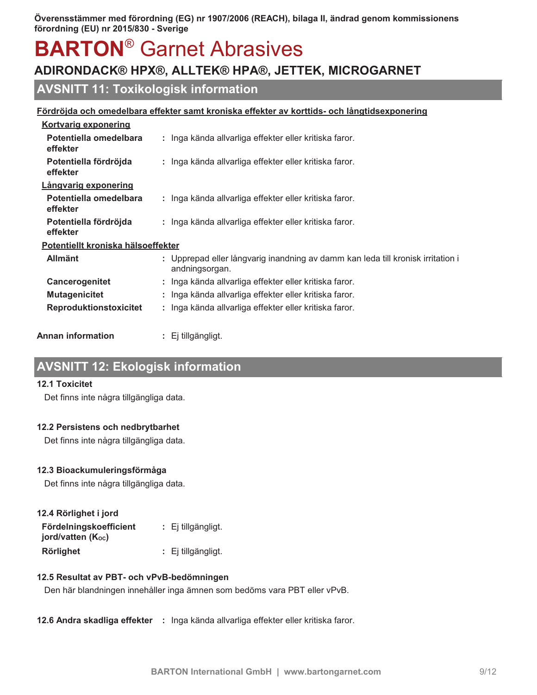## **BARTON<sup>®</sup> Garnet Abrasives**

## ADIRONDACK® HPX®, ALLTEK® HPA®, JETTEK, MICROGARNET

## **AVSNITT 11: Toxikologisk information**

|                                    | <u>Fördröjda och omedelbara effekter samt kroniska effekter av korttids- och långtidsexponering</u> |
|------------------------------------|-----------------------------------------------------------------------------------------------------|
| <b>Kortvarig exponering</b>        |                                                                                                     |
| Potentiella omedelbara<br>effekter | : Inga kända allvarliga effekter eller kritiska faror.                                              |
| Potentiella fördröjda<br>effekter  | : Inga kända allvarliga effekter eller kritiska faror.                                              |
| Långvarig exponering               |                                                                                                     |
| Potentiella omedelbara<br>effekter | : Inga kända allvarliga effekter eller kritiska faror.                                              |
| Potentiella fördröjda<br>effekter  | : Inga kända allvarliga effekter eller kritiska faror.                                              |
| Potentiellt kroniska hälsoeffekter |                                                                                                     |
| <b>Allmänt</b>                     | : Upprepad eller långvarig inandning av damm kan leda till kronisk irritation i<br>andningsorgan.   |
| Cancerogenitet                     | : Inga kända allvarliga effekter eller kritiska faror.                                              |
| <b>Mutagenicitet</b>               | : Inga kända allvarliga effekter eller kritiska faror.                                              |
| <b>Reproduktionstoxicitet</b>      | : Inga kända allvarliga effekter eller kritiska faror.                                              |
| Annan information.                 | : Ei tillaänaliat.                                                                                  |

## **AVSNITT 12: Ekologisk information**

#### **12.1 Toxicitet**

Det finns inte några tillgängliga data.

#### 12.2 Persistens och nedbrytbarhet

Det finns inte några tillgängliga data.

#### 12.3 Bioackumuleringsförmåga

Det finns inte några tillgängliga data.

| 12.4 Rörlighet i jord                       |                       |
|---------------------------------------------|-----------------------|
| Fördelningskoefficient<br>jord/vatten (Koc) | $: E$ j tillgängligt. |
| <b>Rörlighet</b>                            | : Ej tillgängligt.    |

#### 12.5 Resultat av PBT- och vPvB-bedömningen

Den här blandningen innehåller inga ämnen som bedöms vara PBT eller vPvB.

12.6 Andra skadliga effekter : Inga kända allvarliga effekter eller kritiska faror.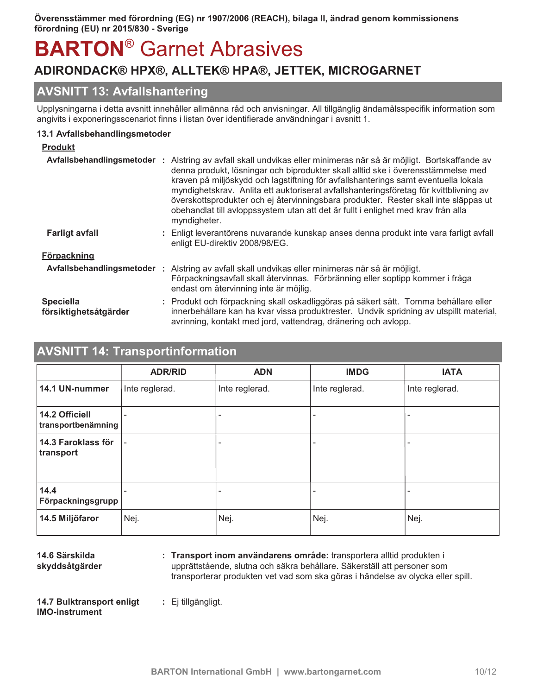## ADIRONDACK® HPX®, ALLTEK® HPA®, JETTEK, MICROGARNET

## **AVSNITT 13: Avfallshantering**

Upplysningarna i detta avsnitt innehåller allmänna råd och anvisningar. All tillgänglig ändamålsspecifik information som angivits i exponeringsscenariot finns i listan över identifierade användningar i avsnitt 1.

#### 13.1 Avfallsbehandlingsmetoder

#### **Produkt** Avfallsbehandlingsmetoder : Alstring av avfall skall undvikas eller minimeras när så är möjligt. Bortskaffande av denna produkt, lösningar och biprodukter skall alltid ske i överensstämmelse med kraven på miljöskydd och lagstiftning för avfallshanterings samt eventuella lokala myndighetskrav. Anlita ett auktoriserat avfallshanteringsföretag för kvittblivning av överskottsprodukter och ej återvinningsbara produkter. Rester skall inte släppas ut obehandlat till avloppssystem utan att det är fullt i enlighet med krav från alla myndigheter. **Farligt avfall** : Enligt leverantörens nuvarande kunskap anses denna produkt inte vara farligt avfall enligt EU-direktiv 2008/98/EG. **Förpackning** Avfallsbehandlingsmetoder : Alstring av avfall skall undvikas eller minimeras när så är möjligt. Förpackningsavfall skall återvinnas. Förbränning eller soptipp kommer i fråga endast om återvinning inte är möjlig. **Speciella** : Produkt och förpackning skall oskadliggöras på säkert sätt. Tomma behållare eller innerbehållare kan ha kvar vissa produktrester. Undvik spridning av utspillt material, försiktighetsåtgärder avrinning, kontakt med jord, vattendrag, dränering och avlopp.

## **AVSNITT 14: Transportinformation**

|                                      | <b>ADR/RID</b>           | <b>ADN</b>               | <b>IMDG</b>    | <b>IATA</b>    |
|--------------------------------------|--------------------------|--------------------------|----------------|----------------|
| 14.1 UN-nummer                       | Inte reglerad.           | Inte reglerad.           | Inte reglerad. | Inte reglerad. |
| 14.2 Officiell<br>transportbenämning |                          |                          |                |                |
| 14.3 Faroklass för<br>transport      | $\overline{\phantom{a}}$ | $\overline{\phantom{a}}$ |                |                |
| 14.4<br>Förpackningsgrupp            | $\overline{\phantom{a}}$ |                          |                |                |
| 14.5 Miljöfaror                      | Nej.                     | Nej.                     | Nej.           | Nej.           |

14.6 Särskilda skyddsåtgärder : Transport inom användarens område: transportera alltid produkten i upprättstående, slutna och säkra behållare. Säkerställ att personer som transporterar produkten vet vad som ska göras i händelse av olycka eller spill.

14.7 Bulktransport enligt **IMO-instrument** 

BARTON International GmbH | www.bartongarnet.com

: Ej tillgängligt.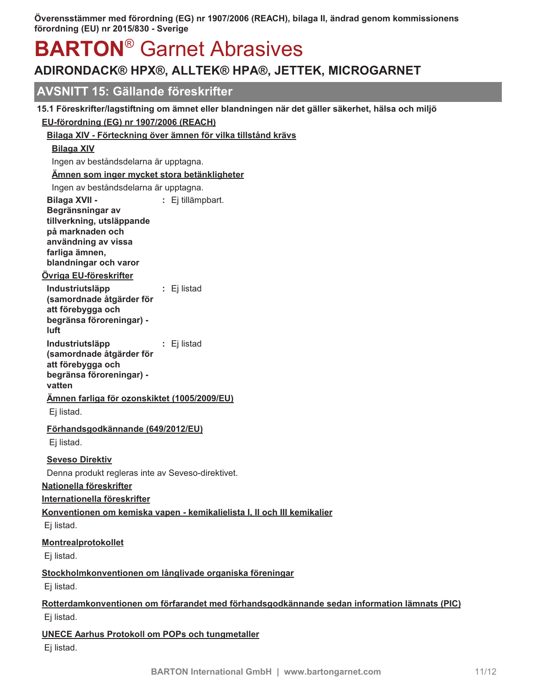## **BARTON<sup>®</sup> Garnet Abrasives**

## ADIRONDACK® HPX®, ALLTEK® HPA®, JETTEK, MICROGARNET

## **AVSNITT 15: Gällande föreskrifter**

### 15.1 Föreskrifter/lagstiftning om ämnet eller blandningen när det gäller säkerhet, hälsa och miljö

#### EU-förordning (EG) nr 1907/2006 (REACH)

Bilaga XIV - Förteckning över ämnen för vilka tillstånd krävs

### **Bilaga XIV**

Ingen av beståndsdelarna är upptagna.

#### Ämnen som inger mycket stora betänkligheter

Ingen av beståndsdelarna är upptagna.

**Bilaga XVII -**: Ej tillämpbart. Begränsningar av tillverkning, utsläppande på marknaden och användning av vissa farliga ämnen. blandningar och varor

### <u>Övriga EU-föreskrifter</u>

Industriutsläpp : Ej listad (samordnade åtgärder för att förebygga och begränsa föroreningar) luft Industriutsläpp : Ej listad

(samordnade åtgärder för att förebygga och begränsa föroreningar) vatten

### Ämnen farliga för ozonskiktet (1005/2009/EU)

Ej listad.

### Förhandsgodkännande (649/2012/EU)

Ej listad.

### **Seveso Direktiv**

Denna produkt regleras inte av Seveso-direktivet.

#### Nationella föreskrifter

Internationella föreskrifter

## Konventionen om kemiska vapen - kemikalielista I, II och III kemikalier

Ej listad.

### Montrealprotokollet

Ej listad.

### Stockholmkonventionen om långlivade organiska föreningar

Ei listad.

### Rotterdamkonventionen om förfarandet med förhandsgodkännande sedan information lämnats (PIC) Ej listad.

## **UNECE Aarhus Protokoll om POPs och tungmetaller**

Ej listad.